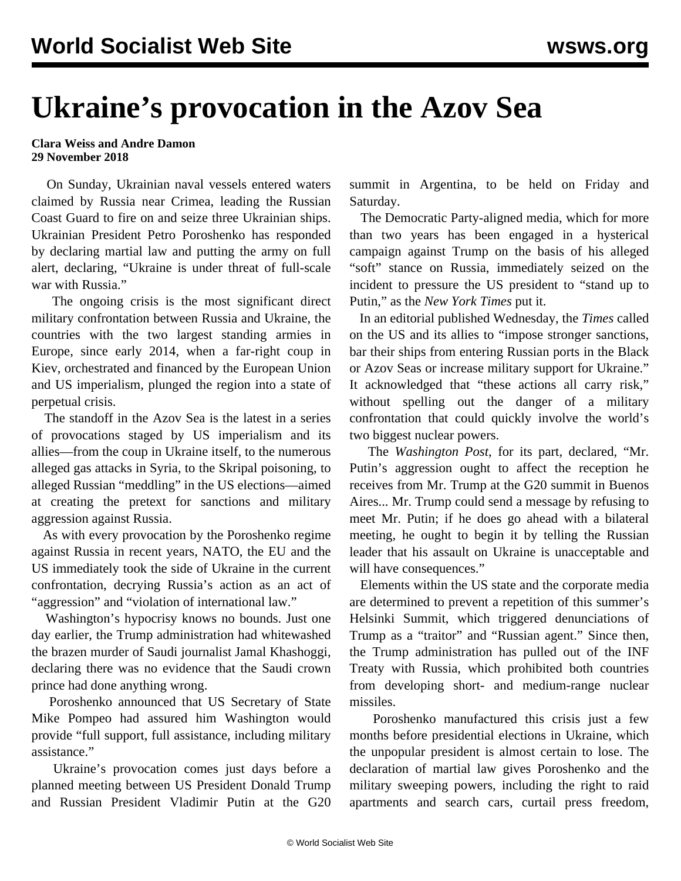## **Ukraine's provocation in the Azov Sea**

## **Clara Weiss and Andre Damon 29 November 2018**

 On Sunday, Ukrainian naval vessels entered waters claimed by Russia near Crimea, leading the Russian Coast Guard to fire on and seize three Ukrainian ships. Ukrainian President Petro Poroshenko has responded by declaring martial law and putting the army on full alert, declaring, "Ukraine is under threat of full-scale war with Russia."

 The ongoing crisis is the most significant direct military confrontation between Russia and Ukraine, the countries with the two largest standing armies in Europe, since early 2014, when a far-right coup in Kiev, orchestrated and financed by the European Union and US imperialism, plunged the region into a state of perpetual crisis.

 The standoff in the Azov Sea is the latest in a series of provocations staged by US imperialism and its allies—from the coup in Ukraine itself, to the numerous alleged gas attacks in Syria, to the Skripal poisoning, to alleged Russian "meddling" in the US elections—aimed at creating the pretext for sanctions and military aggression against Russia.

 As with every provocation by the Poroshenko regime against Russia in recent years, NATO, the EU and the US immediately took the side of Ukraine in the current confrontation, decrying Russia's action as an act of "aggression" and "violation of international law."

 Washington's hypocrisy knows no bounds. Just one day earlier, the Trump administration had whitewashed the brazen murder of Saudi journalist Jamal Khashoggi, declaring there was no evidence that the Saudi crown prince had done anything wrong.

 Poroshenko announced that US Secretary of State Mike Pompeo had assured him Washington would provide "full support, full assistance, including military assistance."

 Ukraine's provocation comes just days before a planned meeting between US President Donald Trump and Russian President Vladimir Putin at the G20 summit in Argentina, to be held on Friday and Saturday.

 The Democratic Party-aligned media, which for more than two years has been engaged in a hysterical campaign against Trump on the basis of his alleged "soft" stance on Russia, immediately seized on the incident to pressure the US president to "stand up to Putin," as the *New York Times* put it.

 In an editorial published Wednesday, the *Times* called on the US and its allies to "impose stronger sanctions, bar their ships from entering Russian ports in the Black or Azov Seas or increase military support for Ukraine." It acknowledged that "these actions all carry risk," without spelling out the danger of a military confrontation that could quickly involve the world's two biggest nuclear powers.

 The *Washington Post*, for its part, declared, "Mr. Putin's aggression ought to affect the reception he receives from Mr. Trump at the G20 summit in Buenos Aires... Mr. Trump could send a message by refusing to meet Mr. Putin; if he does go ahead with a bilateral meeting, he ought to begin it by telling the Russian leader that his assault on Ukraine is unacceptable and will have consequences."

 Elements within the US state and the corporate media are determined to prevent a repetition of this summer's [Helsinki Summit,](/en/articles/2018/07/17/pers-j17.html) which triggered denunciations of Trump as a "traitor" and "Russian agent." Since then, the Trump administration has pulled out of the [INF](/en/articles/2018/10/24/pers-o24.html) [Treaty with Russia,](/en/articles/2018/10/24/pers-o24.html) which prohibited both countries from developing short- and medium-range nuclear missiles.

 Poroshenko manufactured this crisis just a few months before presidential elections in Ukraine, which the unpopular president is almost certain to lose. The declaration of martial law gives Poroshenko and the military sweeping powers, including the right to raid apartments and search cars, curtail press freedom,